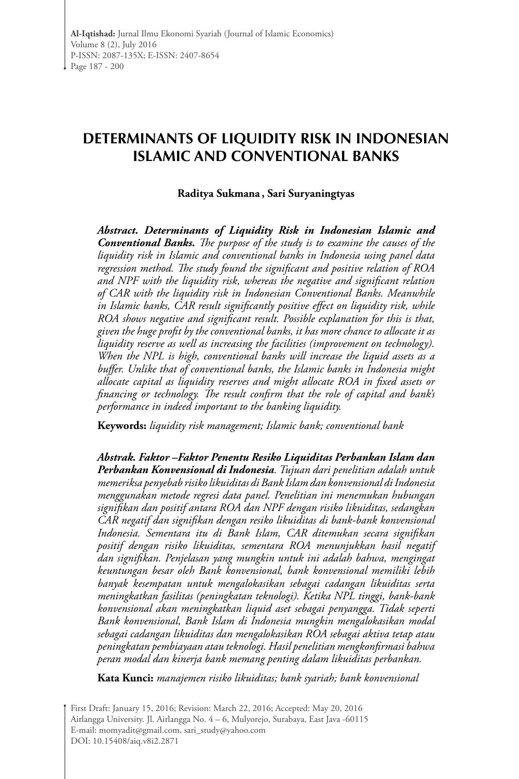# **DETERMINANTS OF LIQUIDITY RISK IN INDONESIAN ISLAMIC AND CONVENTIONAL BANKS**

### **Raditya Sukmana , Sari Suryaningtyas**

*Abstract. Determinants of Liquidity Risk in Indonesian Islamic and Conventional Banks. The purpose of the study is to examine the causes of the liquidity risk in Islamic and conventional banks in Indonesia using panel data regression method. The study found the significant and positive relation of ROA and NPF with the liquidity risk, whereas the negative and significant relation of CAR with the liquidity risk in Indonesian Conventional Banks. Meanwhile in Islamic banks, CAR result significantly positive effect on liquidity risk, while ROA shows negative and significant result. Possible explanation for this is that, given the huge profit by the conventional banks, it has more chance to allocate it as liquidity reserve as well as increasing the facilities (improvement on technology). When the NPL is high, conventional banks will increase the liquid assets as a buffer. Unlike that of conventional banks, the Islamic banks in Indonesia might allocate capital as liquidity reserves and might allocate ROA in fixed assets or financing or technology. The result confirm that the role of capital and bank's performance in indeed important to the banking liquidity.*

**Keywords:** *liquidity risk management; Islamic bank; conventional bank*

*Abstrak. Faktor –Faktor Penentu Resiko Liquiditas Perbankan Islam dan Perbankan Konvensional di Indonesia. Tujuan dari penelitian adalah untuk memeriksa penyebab risiko likuiditas di Bank Islam dan konvensional di Indonesia menggunakan metode regresi data panel. Penelitian ini menemukan hubungan signifikan dan positif antara ROA dan NPF dengan risiko likuiditas, sedangkan CAR negatif dan signifikan dengan resiko likuiditas di bank-bank konvensional Indonesia. Sementara itu di Bank Islam, CAR ditemukan secara signifikan positif dengan risiko likuiditas, sementara ROA menunjukkan hasil negatif dan signifikan. Penjelasan yang mungkin untuk ini adalah bahwa, mengingat keuntungan besar oleh Bank konvensional, bank konvensional memiliki lebih banyak kesempatan untuk mengalokasikan sebagai cadangan likuiditas serta meningkatkan fasilitas (peningkatan teknologi). Ketika NPL tinggi, bank-bank konvensional akan meningkatkan liquid aset sebagai penyangga. Tidak seperti Bank konvensional, Bank Islam di Indonesia mungkin mengalokasikan modal sebagai cadangan likuiditas dan mengalokasikan ROA sebagai aktiva tetap atau peningkatan pembiayaan atau teknologi. Hasil penelitian mengkonfirmasi bahwa peran modal dan kinerja bank memang penting dalam likuiditas perbankan.*

**Kata Kunci:** *manajemen risiko likuiditas; bank syariah; bank konvensional* 

First Draft: January 15, 2016; Revision: March 22, 2016; Accepted: May 20, 2016 Airlangga University. Jl. Airlangga No. 4 – 6, Mulyorejo, Surabaya, East Java -60115 E-mail: momyadit@gmail.com, sari\_study@yahoo.com DOI: 10.15408/aiq.v8i2.2871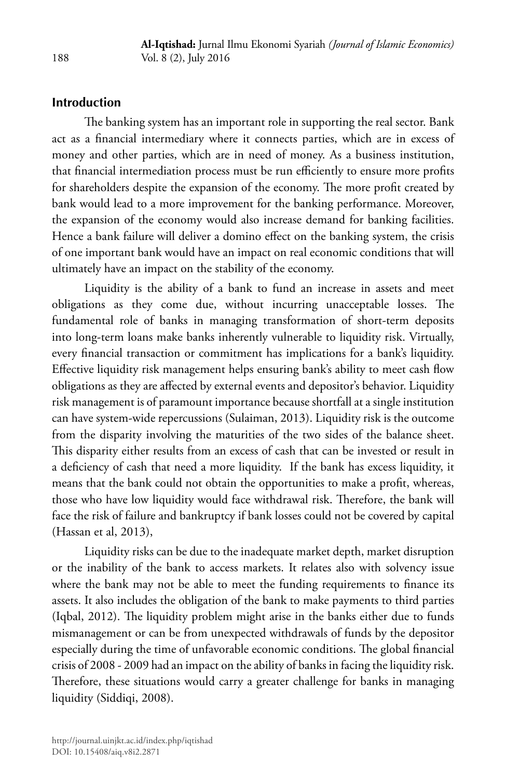# **Introduction**

The banking system has an important role in supporting the real sector. Bank act as a financial intermediary where it connects parties, which are in excess of money and other parties, which are in need of money. As a business institution, that financial intermediation process must be run efficiently to ensure more profits for shareholders despite the expansion of the economy. The more profit created by bank would lead to a more improvement for the banking performance. Moreover, the expansion of the economy would also increase demand for banking facilities. Hence a bank failure will deliver a domino effect on the banking system, the crisis of one important bank would have an impact on real economic conditions that will ultimately have an impact on the stability of the economy.

Liquidity is the ability of a bank to fund an increase in assets and meet obligations as they come due, without incurring unacceptable losses. The fundamental role of banks in managing transformation of short-term deposits into long-term loans make banks inherently vulnerable to liquidity risk. Virtually, every financial transaction or commitment has implications for a bank's liquidity. Effective liquidity risk management helps ensuring bank's ability to meet cash flow obligations as they are affected by external events and depositor's behavior. Liquidity risk management is of paramount importance because shortfall at a single institution can have system-wide repercussions (Sulaiman, 2013). Liquidity risk is the outcome from the disparity involving the maturities of the two sides of the balance sheet. This disparity either results from an excess of cash that can be invested or result in a deficiency of cash that need a more liquidity. If the bank has excess liquidity, it means that the bank could not obtain the opportunities to make a profit, whereas, those who have low liquidity would face withdrawal risk. Therefore, the bank will face the risk of failure and bankruptcy if bank losses could not be covered by capital (Hassan et al, 2013),

Liquidity risks can be due to the inadequate market depth, market disruption or the inability of the bank to access markets. It relates also with solvency issue where the bank may not be able to meet the funding requirements to finance its assets. It also includes the obligation of the bank to make payments to third parties (Iqbal, 2012). The liquidity problem might arise in the banks either due to funds mismanagement or can be from unexpected withdrawals of funds by the depositor especially during the time of unfavorable economic conditions. The global financial crisis of 2008 - 2009 had an impact on the ability of banks in facing the liquidity risk. Therefore, these situations would carry a greater challenge for banks in managing liquidity (Siddiqi, 2008).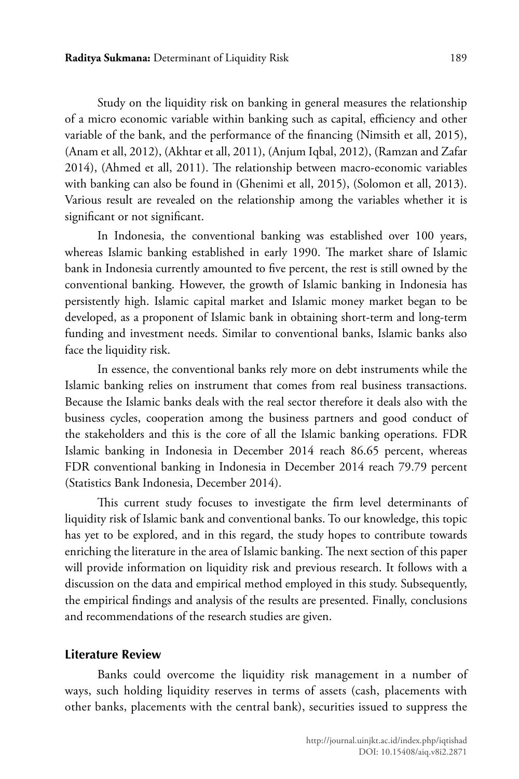#### **Raditya Sukmana:** Determinant of Liquidity Risk 189

Study on the liquidity risk on banking in general measures the relationship of a micro economic variable within banking such as capital, efficiency and other variable of the bank, and the performance of the financing (Nimsith et all, 2015), (Anam et all, 2012), (Akhtar et all, 2011), (Anjum Iqbal, 2012), (Ramzan and Zafar 2014), (Ahmed et all, 2011). The relationship between macro-economic variables with banking can also be found in (Ghenimi et all, 2015), (Solomon et all, 2013). Various result are revealed on the relationship among the variables whether it is significant or not significant.

In Indonesia, the conventional banking was established over 100 years, whereas Islamic banking established in early 1990. The market share of Islamic bank in Indonesia currently amounted to five percent, the rest is still owned by the conventional banking. However, the growth of Islamic banking in Indonesia has persistently high. Islamic capital market and Islamic money market began to be developed, as a proponent of Islamic bank in obtaining short-term and long-term funding and investment needs. Similar to conventional banks, Islamic banks also face the liquidity risk.

In essence, the conventional banks rely more on debt instruments while the Islamic banking relies on instrument that comes from real business transactions. Because the Islamic banks deals with the real sector therefore it deals also with the business cycles, cooperation among the business partners and good conduct of the stakeholders and this is the core of all the Islamic banking operations. FDR Islamic banking in Indonesia in December 2014 reach 86.65 percent, whereas FDR conventional banking in Indonesia in December 2014 reach 79.79 percent (Statistics Bank Indonesia, December 2014).

This current study focuses to investigate the firm level determinants of liquidity risk of Islamic bank and conventional banks. To our knowledge, this topic has yet to be explored, and in this regard, the study hopes to contribute towards enriching the literature in the area of Islamic banking. The next section of this paper will provide information on liquidity risk and previous research. It follows with a discussion on the data and empirical method employed in this study. Subsequently, the empirical findings and analysis of the results are presented. Finally, conclusions and recommendations of the research studies are given.

### **Literature Review**

Banks could overcome the liquidity risk management in a number of ways, such holding liquidity reserves in terms of assets (cash, placements with other banks, placements with the central bank), securities issued to suppress the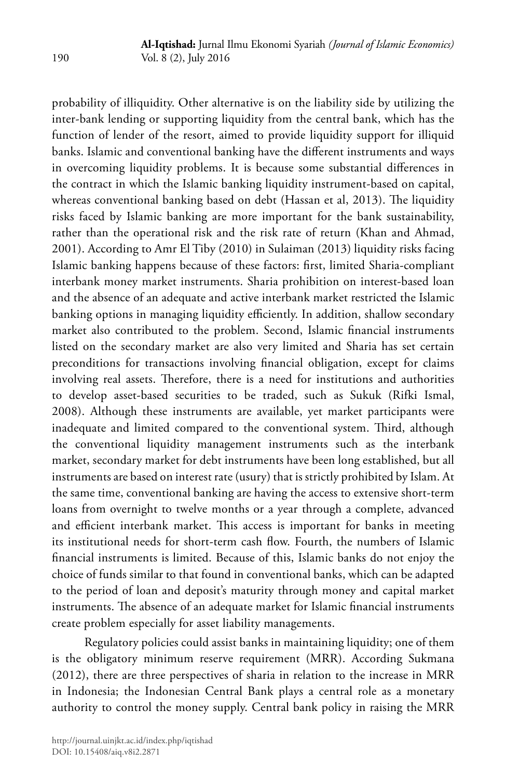probability of illiquidity. Other alternative is on the liability side by utilizing the inter-bank lending or supporting liquidity from the central bank, which has the function of lender of the resort, aimed to provide liquidity support for illiquid banks. Islamic and conventional banking have the different instruments and ways in overcoming liquidity problems. It is because some substantial differences in the contract in which the Islamic banking liquidity instrument-based on capital, whereas conventional banking based on debt (Hassan et al, 2013). The liquidity risks faced by Islamic banking are more important for the bank sustainability, rather than the operational risk and the risk rate of return (Khan and Ahmad, 2001). According to Amr El Tiby (2010) in Sulaiman (2013) liquidity risks facing Islamic banking happens because of these factors: first, limited Sharia-compliant interbank money market instruments. Sharia prohibition on interest-based loan and the absence of an adequate and active interbank market restricted the Islamic banking options in managing liquidity efficiently. In addition, shallow secondary market also contributed to the problem. Second, Islamic financial instruments listed on the secondary market are also very limited and Sharia has set certain preconditions for transactions involving financial obligation, except for claims involving real assets. Therefore, there is a need for institutions and authorities to develop asset-based securities to be traded, such as Sukuk (Rifki Ismal, 2008). Although these instruments are available, yet market participants were inadequate and limited compared to the conventional system. Third, although the conventional liquidity management instruments such as the interbank market, secondary market for debt instruments have been long established, but all instruments are based on interest rate (usury) that is strictly prohibited by Islam. At the same time, conventional banking are having the access to extensive short-term loans from overnight to twelve months or a year through a complete, advanced and efficient interbank market. This access is important for banks in meeting its institutional needs for short-term cash flow. Fourth, the numbers of Islamic financial instruments is limited. Because of this, Islamic banks do not enjoy the choice of funds similar to that found in conventional banks, which can be adapted to the period of loan and deposit's maturity through money and capital market instruments. The absence of an adequate market for Islamic financial instruments create problem especially for asset liability managements.

Regulatory policies could assist banks in maintaining liquidity; one of them is the obligatory minimum reserve requirement (MRR). According Sukmana (2012), there are three perspectives of sharia in relation to the increase in MRR in Indonesia; the Indonesian Central Bank plays a central role as a monetary authority to control the money supply. Central bank policy in raising the MRR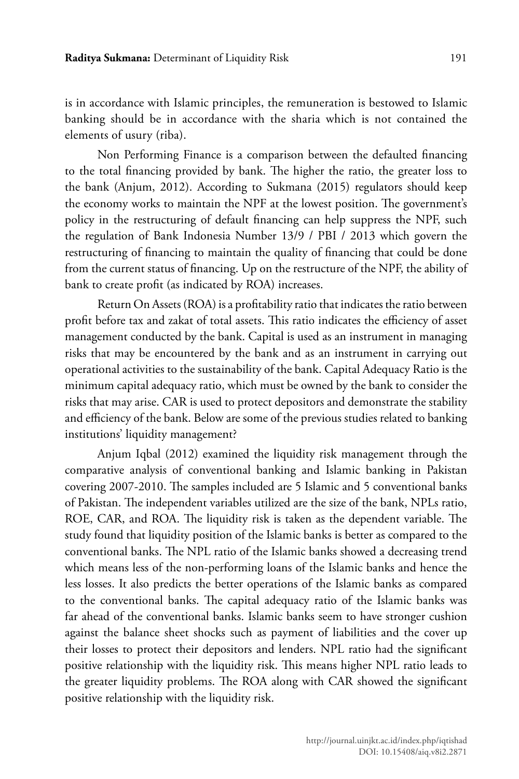is in accordance with Islamic principles, the remuneration is bestowed to Islamic banking should be in accordance with the sharia which is not contained the elements of usury (riba).

Non Performing Finance is a comparison between the defaulted financing to the total financing provided by bank. The higher the ratio, the greater loss to the bank (Anjum, 2012). According to Sukmana (2015) regulators should keep the economy works to maintain the NPF at the lowest position. The government's policy in the restructuring of default financing can help suppress the NPF, such the regulation of Bank Indonesia Number 13/9 / PBI / 2013 which govern the restructuring of financing to maintain the quality of financing that could be done from the current status of financing. Up on the restructure of the NPF, the ability of bank to create profit (as indicated by ROA) increases.

Return On Assets (ROA) is a profitability ratio that indicates the ratio between profit before tax and zakat of total assets. This ratio indicates the efficiency of asset management conducted by the bank. Capital is used as an instrument in managing risks that may be encountered by the bank and as an instrument in carrying out operational activities to the sustainability of the bank. Capital Adequacy Ratio is the minimum capital adequacy ratio, which must be owned by the bank to consider the risks that may arise. CAR is used to protect depositors and demonstrate the stability and efficiency of the bank. Below are some of the previous studies related to banking institutions' liquidity management?

Anjum Iqbal (2012) examined the liquidity risk management through the comparative analysis of conventional banking and Islamic banking in Pakistan covering 2007-2010. The samples included are 5 Islamic and 5 conventional banks of Pakistan. The independent variables utilized are the size of the bank, NPLs ratio, ROE, CAR, and ROA. The liquidity risk is taken as the dependent variable. The study found that liquidity position of the Islamic banks is better as compared to the conventional banks. The NPL ratio of the Islamic banks showed a decreasing trend which means less of the non-performing loans of the Islamic banks and hence the less losses. It also predicts the better operations of the Islamic banks as compared to the conventional banks. The capital adequacy ratio of the Islamic banks was far ahead of the conventional banks. Islamic banks seem to have stronger cushion against the balance sheet shocks such as payment of liabilities and the cover up their losses to protect their depositors and lenders. NPL ratio had the significant positive relationship with the liquidity risk. This means higher NPL ratio leads to the greater liquidity problems. The ROA along with CAR showed the significant positive relationship with the liquidity risk.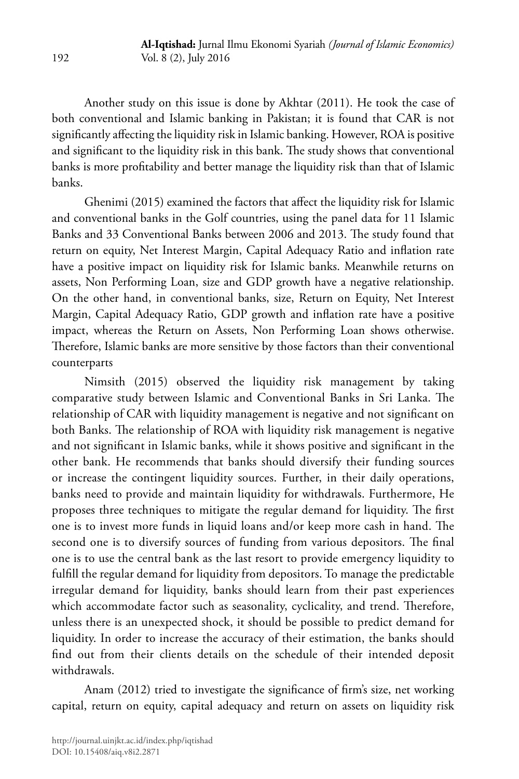Another study on this issue is done by Akhtar (2011). He took the case of both conventional and Islamic banking in Pakistan; it is found that CAR is not significantly affecting the liquidity risk in Islamic banking. However, ROA is positive and significant to the liquidity risk in this bank. The study shows that conventional banks is more profitability and better manage the liquidity risk than that of Islamic banks.

Ghenimi (2015) examined the factors that affect the liquidity risk for Islamic and conventional banks in the Golf countries, using the panel data for 11 Islamic Banks and 33 Conventional Banks between 2006 and 2013. The study found that return on equity, Net Interest Margin, Capital Adequacy Ratio and inflation rate have a positive impact on liquidity risk for Islamic banks. Meanwhile returns on assets, Non Performing Loan, size and GDP growth have a negative relationship. On the other hand, in conventional banks, size, Return on Equity, Net Interest Margin, Capital Adequacy Ratio, GDP growth and inflation rate have a positive impact, whereas the Return on Assets, Non Performing Loan shows otherwise. Therefore, Islamic banks are more sensitive by those factors than their conventional counterparts

Nimsith (2015) observed the liquidity risk management by taking comparative study between Islamic and Conventional Banks in Sri Lanka. The relationship of CAR with liquidity management is negative and not significant on both Banks. The relationship of ROA with liquidity risk management is negative and not significant in Islamic banks, while it shows positive and significant in the other bank. He recommends that banks should diversify their funding sources or increase the contingent liquidity sources. Further, in their daily operations, banks need to provide and maintain liquidity for withdrawals. Furthermore, He proposes three techniques to mitigate the regular demand for liquidity. The first one is to invest more funds in liquid loans and/or keep more cash in hand. The second one is to diversify sources of funding from various depositors. The final one is to use the central bank as the last resort to provide emergency liquidity to fulfill the regular demand for liquidity from depositors. To manage the predictable irregular demand for liquidity, banks should learn from their past experiences which accommodate factor such as seasonality, cyclicality, and trend. Therefore, unless there is an unexpected shock, it should be possible to predict demand for liquidity. In order to increase the accuracy of their estimation, the banks should find out from their clients details on the schedule of their intended deposit withdrawals.

Anam (2012) tried to investigate the significance of firm's size, net working capital, return on equity, capital adequacy and return on assets on liquidity risk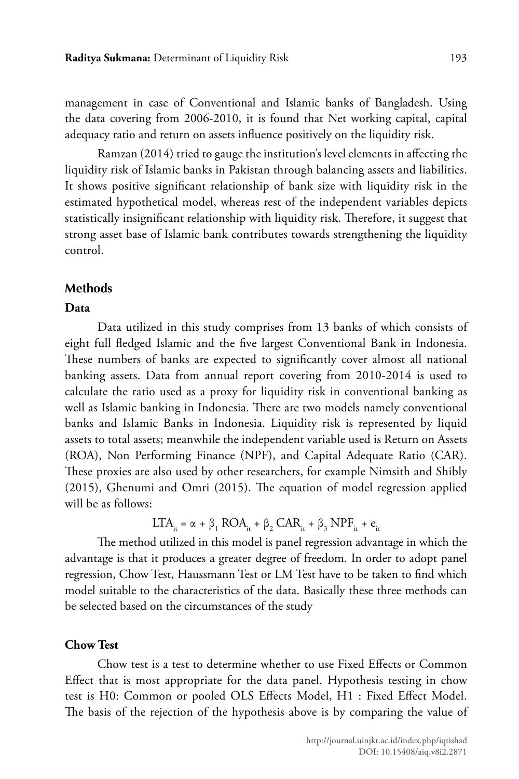management in case of Conventional and Islamic banks of Bangladesh. Using the data covering from 2006-2010, it is found that Net working capital, capital adequacy ratio and return on assets influence positively on the liquidity risk.

Ramzan (2014) tried to gauge the institution's level elements in affecting the liquidity risk of Islamic banks in Pakistan through balancing assets and liabilities. It shows positive significant relationship of bank size with liquidity risk in the estimated hypothetical model, whereas rest of the independent variables depicts statistically insignificant relationship with liquidity risk. Therefore, it suggest that strong asset base of Islamic bank contributes towards strengthening the liquidity control.

### **Methods**

#### **Data**

Data utilized in this study comprises from 13 banks of which consists of eight full fledged Islamic and the five largest Conventional Bank in Indonesia. These numbers of banks are expected to significantly cover almost all national banking assets. Data from annual report covering from 2010-2014 is used to calculate the ratio used as a proxy for liquidity risk in conventional banking as well as Islamic banking in Indonesia. There are two models namely conventional banks and Islamic Banks in Indonesia. Liquidity risk is represented by liquid assets to total assets; meanwhile the independent variable used is Return on Assets (ROA), Non Performing Finance (NPF), and Capital Adequate Ratio (CAR). These proxies are also used by other researchers, for example Nimsith and Shibly (2015), Ghenumi and Omri (2015). The equation of model regression applied will be as follows:

$$
LTA_{it} = \alpha + \beta_1 \text{ROA}_{it} + \beta_2 \text{CAR}_{it} + \beta_3 \text{NPF}_{it} + e_{it}
$$

The method utilized in this model is panel regression advantage in which the advantage is that it produces a greater degree of freedom. In order to adopt panel regression, Chow Test, Haussmann Test or LM Test have to be taken to find which model suitable to the characteristics of the data. Basically these three methods can be selected based on the circumstances of the study

#### **Chow Test**

Chow test is a test to determine whether to use Fixed Effects or Common Effect that is most appropriate for the data panel. Hypothesis testing in chow test is H0: Common or pooled OLS Effects Model, H1 : Fixed Effect Model. The basis of the rejection of the hypothesis above is by comparing the value of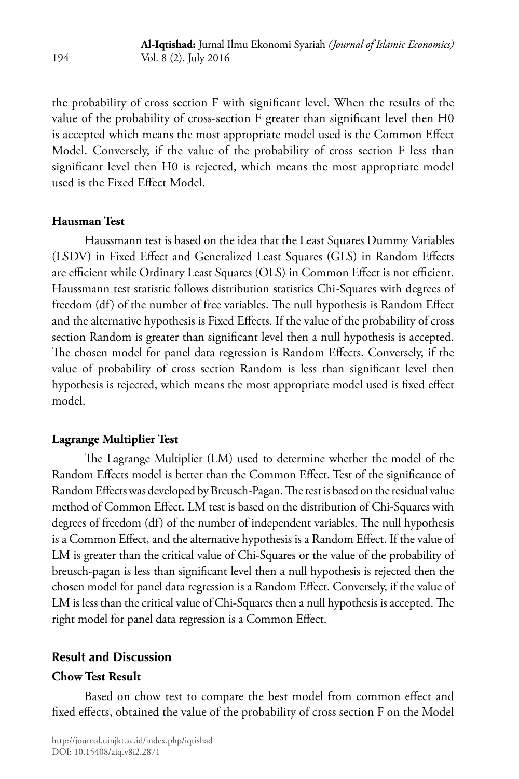the probability of cross section F with significant level. When the results of the value of the probability of cross-section F greater than significant level then H0 is accepted which means the most appropriate model used is the Common Effect Model. Conversely, if the value of the probability of cross section F less than significant level then H0 is rejected, which means the most appropriate model used is the Fixed Effect Model.

# **Hausman Test**

Haussmann test is based on the idea that the Least Squares Dummy Variables (LSDV) in Fixed Effect and Generalized Least Squares (GLS) in Random Effects are efficient while Ordinary Least Squares (OLS) in Common Effect is not efficient. Haussmann test statistic follows distribution statistics Chi-Squares with degrees of freedom (df) of the number of free variables. The null hypothesis is Random Effect and the alternative hypothesis is Fixed Effects. If the value of the probability of cross section Random is greater than significant level then a null hypothesis is accepted. The chosen model for panel data regression is Random Effects. Conversely, if the value of probability of cross section Random is less than significant level then hypothesis is rejected, which means the most appropriate model used is fixed effect model.

### **Lagrange Multiplier Test**

The Lagrange Multiplier (LM) used to determine whether the model of the Random Effects model is better than the Common Effect. Test of the significance of Random Effects was developed by Breusch-Pagan. The test is based on the residual value method of Common Effect. LM test is based on the distribution of Chi-Squares with degrees of freedom (df) of the number of independent variables. The null hypothesis is a Common Effect, and the alternative hypothesis is a Random Effect. If the value of LM is greater than the critical value of Chi-Squares or the value of the probability of breusch-pagan is less than significant level then a null hypothesis is rejected then the chosen model for panel data regression is a Random Effect. Conversely, if the value of LM is less than the critical value of Chi-Squares then a null hypothesis is accepted. The right model for panel data regression is a Common Effect.

# **Result and Discussion**

# **Chow Test Result**

Based on chow test to compare the best model from common effect and fixed effects, obtained the value of the probability of cross section F on the Model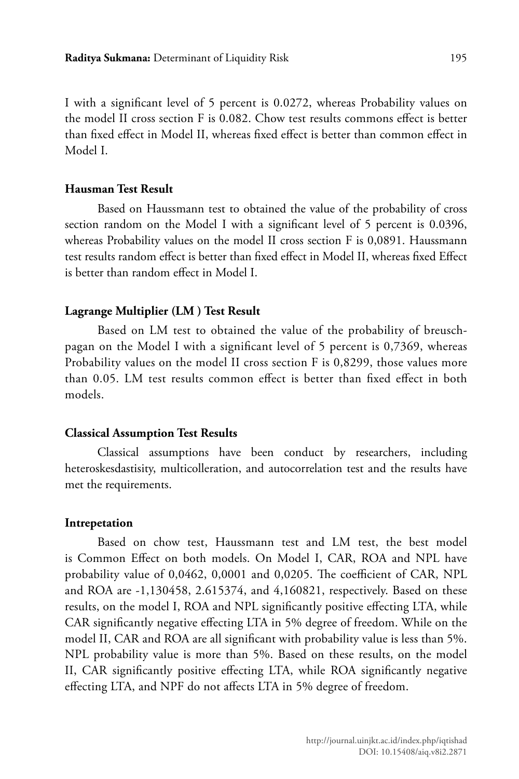I with a significant level of 5 percent is 0.0272, whereas Probability values on the model II cross section F is 0.082. Chow test results commons effect is better than fixed effect in Model II, whereas fixed effect is better than common effect in Model I.

### **Hausman Test Result**

Based on Haussmann test to obtained the value of the probability of cross section random on the Model I with a significant level of 5 percent is 0.0396, whereas Probability values on the model II cross section F is 0,0891. Haussmann test results random effect is better than fixed effect in Model II, whereas fixed Effect is better than random effect in Model I.

#### **Lagrange Multiplier (LM ) Test Result**

Based on LM test to obtained the value of the probability of breuschpagan on the Model I with a significant level of 5 percent is 0,7369, whereas Probability values on the model II cross section F is 0,8299, those values more than 0.05. LM test results common effect is better than fixed effect in both models.

#### **Classical Assumption Test Results**

Classical assumptions have been conduct by researchers, including heteroskesdastisity, multicolleration, and autocorrelation test and the results have met the requirements.

### **Intrepetation**

Based on chow test, Haussmann test and LM test, the best model is Common Effect on both models. On Model I, CAR, ROA and NPL have probability value of 0,0462, 0,0001 and 0,0205. The coefficient of CAR, NPL and ROA are -1,130458, 2.615374, and 4,160821, respectively. Based on these results, on the model I, ROA and NPL significantly positive effecting LTA, while CAR significantly negative effecting LTA in 5% degree of freedom. While on the model II, CAR and ROA are all significant with probability value is less than 5%. NPL probability value is more than 5%. Based on these results, on the model II, CAR significantly positive effecting LTA, while ROA significantly negative effecting LTA, and NPF do not affects LTA in 5% degree of freedom.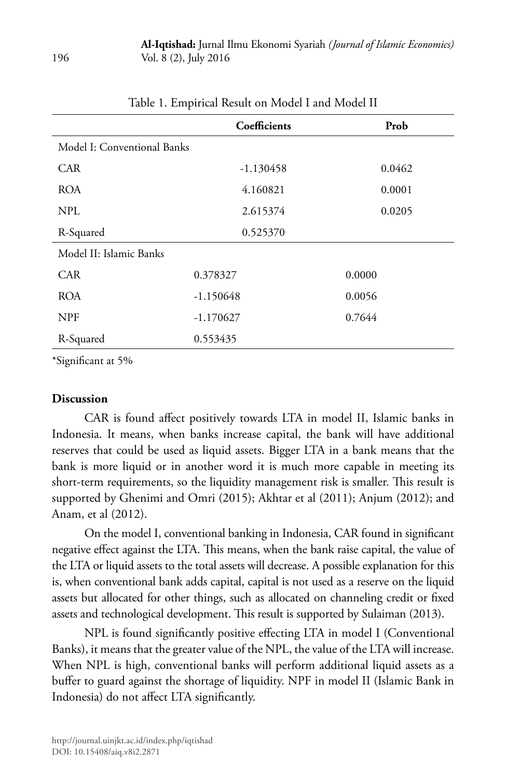|                             | Coefficients | Prob   |
|-----------------------------|--------------|--------|
| Model I: Conventional Banks |              |        |
| <b>CAR</b>                  | $-1.130458$  | 0.0462 |
| <b>ROA</b>                  | 4.160821     | 0.0001 |
| NPL                         | 2.615374     | 0.0205 |
| R-Squared                   | 0.525370     |        |
| Model II: Islamic Banks     |              |        |
| <b>CAR</b>                  | 0.378327     | 0.0000 |
| <b>ROA</b>                  | $-1.150648$  | 0.0056 |
| <b>NPF</b>                  | $-1.170627$  | 0.7644 |
| R-Squared                   | 0.553435     |        |

# Table 1. Empirical Result on Model I and Model II

\*Significant at 5%

### **Discussion**

CAR is found affect positively towards LTA in model II, Islamic banks in Indonesia. It means, when banks increase capital, the bank will have additional reserves that could be used as liquid assets. Bigger LTA in a bank means that the bank is more liquid or in another word it is much more capable in meeting its short-term requirements, so the liquidity management risk is smaller. This result is supported by Ghenimi and Omri (2015); Akhtar et al (2011); Anjum (2012); and Anam, et al (2012).

On the model I, conventional banking in Indonesia, CAR found in significant negative effect against the LTA. This means, when the bank raise capital, the value of the LTA or liquid assets to the total assets will decrease. A possible explanation for this is, when conventional bank adds capital, capital is not used as a reserve on the liquid assets but allocated for other things, such as allocated on channeling credit or fixed assets and technological development. This result is supported by Sulaiman (2013).

NPL is found significantly positive effecting LTA in model I (Conventional Banks), it means that the greater value of the NPL, the value of the LTA will increase. When NPL is high, conventional banks will perform additional liquid assets as a buffer to guard against the shortage of liquidity. NPF in model II (Islamic Bank in Indonesia) do not affect LTA significantly.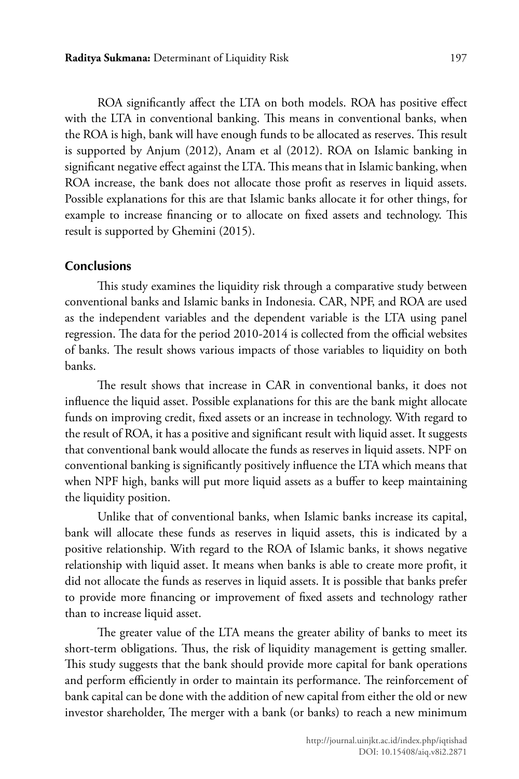ROA significantly affect the LTA on both models. ROA has positive effect with the LTA in conventional banking. This means in conventional banks, when the ROA is high, bank will have enough funds to be allocated as reserves. This result is supported by Anjum (2012), Anam et al (2012). ROA on Islamic banking in significant negative effect against the LTA. This means that in Islamic banking, when ROA increase, the bank does not allocate those profit as reserves in liquid assets. Possible explanations for this are that Islamic banks allocate it for other things, for example to increase financing or to allocate on fixed assets and technology. This result is supported by Ghemini (2015).

# **Conclusions**

This study examines the liquidity risk through a comparative study between conventional banks and Islamic banks in Indonesia. CAR, NPF, and ROA are used as the independent variables and the dependent variable is the LTA using panel regression. The data for the period 2010-2014 is collected from the official websites of banks. The result shows various impacts of those variables to liquidity on both banks.

The result shows that increase in CAR in conventional banks, it does not influence the liquid asset. Possible explanations for this are the bank might allocate funds on improving credit, fixed assets or an increase in technology. With regard to the result of ROA, it has a positive and significant result with liquid asset. It suggests that conventional bank would allocate the funds as reserves in liquid assets. NPF on conventional banking is significantly positively influence the LTA which means that when NPF high, banks will put more liquid assets as a buffer to keep maintaining the liquidity position.

Unlike that of conventional banks, when Islamic banks increase its capital, bank will allocate these funds as reserves in liquid assets, this is indicated by a positive relationship. With regard to the ROA of Islamic banks, it shows negative relationship with liquid asset. It means when banks is able to create more profit, it did not allocate the funds as reserves in liquid assets. It is possible that banks prefer to provide more financing or improvement of fixed assets and technology rather than to increase liquid asset.

The greater value of the LTA means the greater ability of banks to meet its short-term obligations. Thus, the risk of liquidity management is getting smaller. This study suggests that the bank should provide more capital for bank operations and perform efficiently in order to maintain its performance. The reinforcement of bank capital can be done with the addition of new capital from either the old or new investor shareholder, The merger with a bank (or banks) to reach a new minimum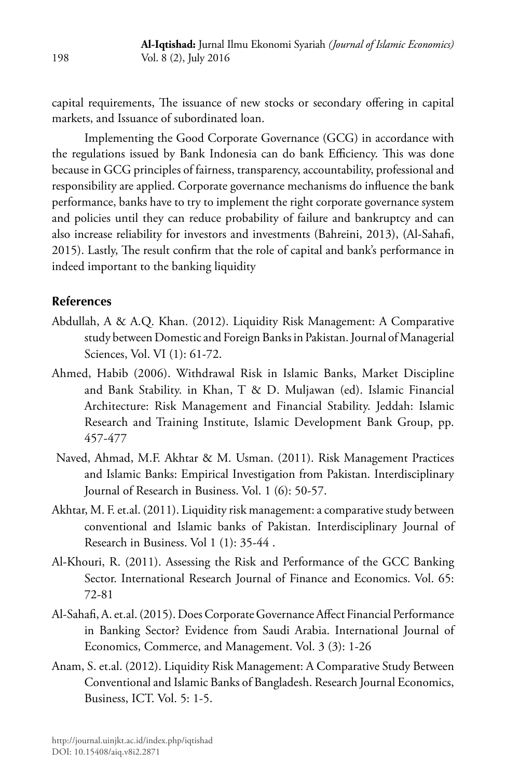capital requirements, The issuance of new stocks or secondary offering in capital markets, and Issuance of subordinated loan.

Implementing the Good Corporate Governance (GCG) in accordance with the regulations issued by Bank Indonesia can do bank Efficiency. This was done because in GCG principles of fairness, transparency, accountability, professional and responsibility are applied. Corporate governance mechanisms do influence the bank performance, banks have to try to implement the right corporate governance system and policies until they can reduce probability of failure and bankruptcy and can also increase reliability for investors and investments (Bahreini, 2013), (Al-Sahafi, 2015). Lastly, The result confirm that the role of capital and bank's performance in indeed important to the banking liquidity

### **References**

- Abdullah, A & A.Q. Khan. (2012). Liquidity Risk Management: A Comparative study between Domestic and Foreign Banks in Pakistan. Journal of Managerial Sciences, Vol. VI (1): 61-72.
- Ahmed, Habib (2006). Withdrawal Risk in Islamic Banks, Market Discipline and Bank Stability. in Khan, T & D. Muljawan (ed). Islamic Financial Architecture: Risk Management and Financial Stability. Jeddah: Islamic Research and Training Institute, Islamic Development Bank Group, pp. 457-477
- Naved, Ahmad, M.F. Akhtar & M. Usman. (2011). Risk Management Practices and Islamic Banks: Empirical Investigation from Pakistan. Interdisciplinary Journal of Research in Business. Vol. 1 (6): 50-57.
- Akhtar, M. F. et.al. (2011). Liquidity risk management: a comparative study between conventional and Islamic banks of Pakistan. Interdisciplinary Journal of Research in Business. Vol 1 (1): 35-44 .
- Al-Khouri, R. (2011). Assessing the Risk and Performance of the GCC Banking Sector. International Research Journal of Finance and Economics. Vol. 65: 72-81
- Al-Sahafi, A. et.al. (2015). Does Corporate Governance Affect Financial Performance in Banking Sector? Evidence from Saudi Arabia. International Journal of Economics, Commerce, and Management. Vol. 3 (3): 1-26
- Anam, S. et.al. (2012). Liquidity Risk Management: A Comparative Study Between Conventional and Islamic Banks of Bangladesh. Research Journal Economics, Business, ICT. Vol. 5: 1-5.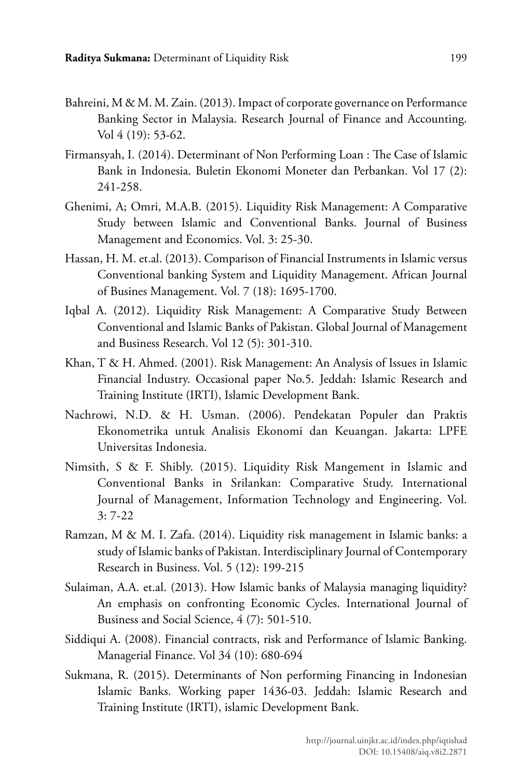- Bahreini, M & M. M. Zain. (2013). Impact of corporate governance on Performance Banking Sector in Malaysia. Research Journal of Finance and Accounting. Vol 4 (19): 53-62.
- Firmansyah, I. (2014). Determinant of Non Performing Loan : The Case of Islamic Bank in Indonesia. Buletin Ekonomi Moneter dan Perbankan. Vol 17 (2): 241-258.
- Ghenimi, A; Omri, M.A.B. (2015). Liquidity Risk Management: A Comparative Study between Islamic and Conventional Banks. Journal of Business Management and Economics. Vol. 3: 25-30.
- Hassan, H. M. et.al. (2013). Comparison of Financial Instruments in Islamic versus Conventional banking System and Liquidity Management. African Journal of Busines Management. Vol. 7 (18): 1695-1700.
- Iqbal A. (2012). Liquidity Risk Management: A Comparative Study Between Conventional and Islamic Banks of Pakistan. Global Journal of Management and Business Research. Vol 12 (5): 301-310.
- Khan, T & H. Ahmed. (2001). Risk Management: An Analysis of Issues in Islamic Financial Industry. Occasional paper No.5. Jeddah: Islamic Research and Training Institute (IRTI), Islamic Development Bank.
- Nachrowi, N.D. & H. Usman. (2006). Pendekatan Populer dan Praktis Ekonometrika untuk Analisis Ekonomi dan Keuangan. Jakarta: LPFE Universitas Indonesia.
- Nimsith, S & F. Shibly. (2015). Liquidity Risk Mangement in Islamic and Conventional Banks in Srilankan: Comparative Study. International Journal of Management, Information Technology and Engineering. Vol. 3: 7-22
- Ramzan, M & M. I. Zafa. (2014). Liquidity risk management in Islamic banks: a study of Islamic banks of Pakistan. Interdisciplinary Journal of Contemporary Research in Business. Vol. 5 (12): 199-215
- Sulaiman, A.A. et.al. (2013). How Islamic banks of Malaysia managing liquidity? An emphasis on confronting Economic Cycles. International Journal of Business and Social Science, 4 (7): 501-510.
- Siddiqui A. (2008). Financial contracts, risk and Performance of Islamic Banking. Managerial Finance. Vol 34 (10): 680-694
- Sukmana, R. (2015). Determinants of Non performing Financing in Indonesian Islamic Banks. Working paper 1436-03. Jeddah: Islamic Research and Training Institute (IRTI), islamic Development Bank.